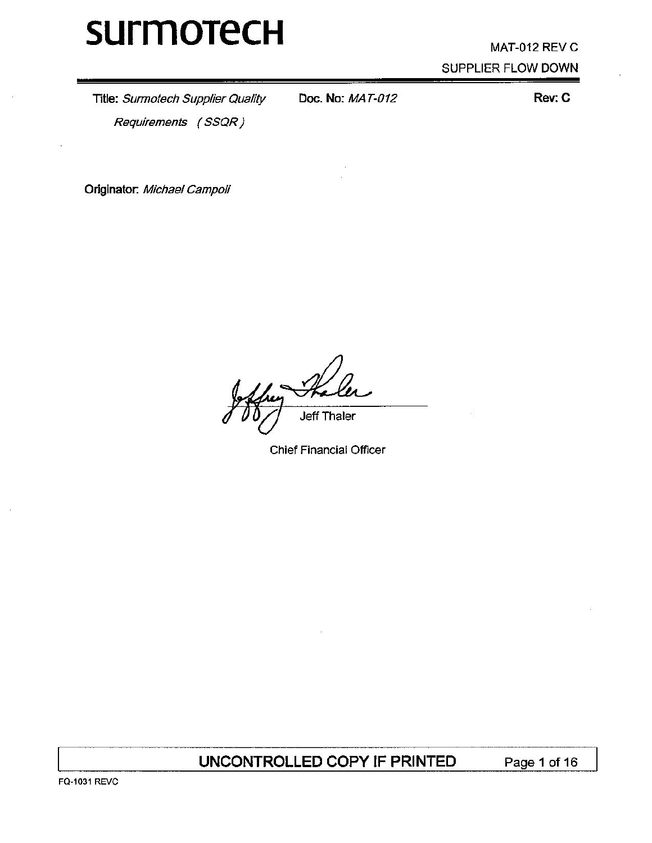# MAT-012 REV C SUPPLIER FLOW DOWN

Title: Surmotech Supplier Quality Requirements (SSQR)

Doc. No: MAT-012

Rev: C

Originator: Michael Campoli

**Jeff Thaler** 

**Chief Financial Officer** 

UNCONTROLLED COPY IF PRINTED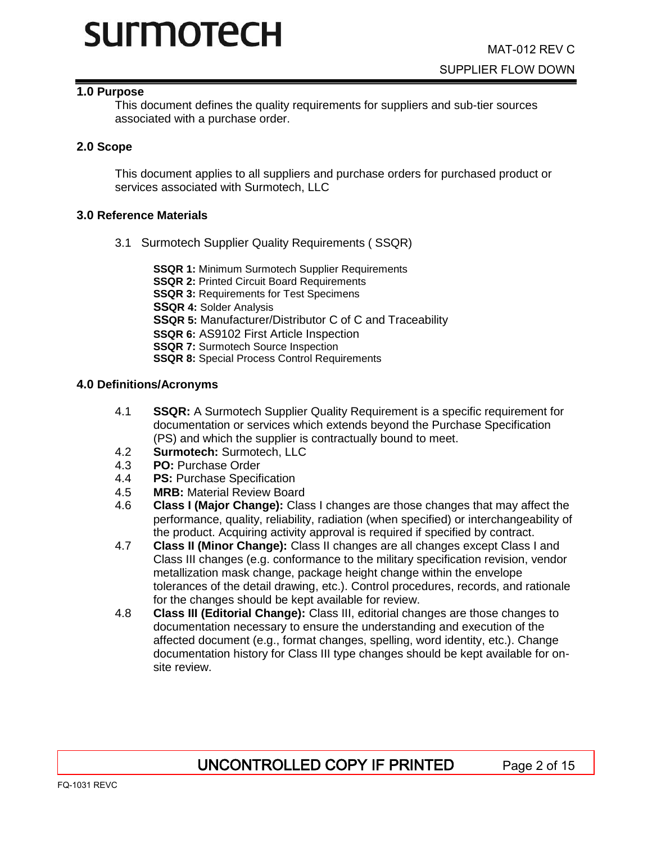#### **1.0 Purpose**

This document defines the quality requirements for suppliers and sub-tier sources associated with a purchase order.

#### **2.0 Scope**

This document applies to all suppliers and purchase orders for purchased product or services associated with Surmotech, LLC

#### **3.0 Reference Materials**

3.1 Surmotech Supplier Quality Requirements ( SSQR)

**SSQR 1:** Minimum Surmotech Supplier Requirements **SSQR 2:** Printed Circuit Board Requirements **SSQR 3:** Requirements for Test Specimens **SSQR 4:** Solder Analysis **SSQR 5:** Manufacturer/Distributor C of C and Traceability **SSQR 6:** AS9102 First Article Inspection **SSQR 7:** Surmotech Source Inspection **SSQR 8:** Special Process Control Requirements

#### **4.0 Definitions/Acronyms**

- 4.1 **SSQR:** A Surmotech Supplier Quality Requirement is a specific requirement for documentation or services which extends beyond the Purchase Specification (PS) and which the supplier is contractually bound to meet.
- 4.2 **Surmotech:** Surmotech, LLC
- 4.3 **PO:** Purchase Order
- 4.4 **PS:** Purchase Specification
- 4.5 **MRB:** Material Review Board
- 4.6 **Class I (Major Change):** Class I changes are those changes that may affect the performance, quality, reliability, radiation (when specified) or interchangeability of the product. Acquiring activity approval is required if specified by contract.
- 4.7 **Class II (Minor Change):** Class II changes are all changes except Class I and Class III changes (e.g. conformance to the military specification revision, vendor metallization mask change, package height change within the envelope tolerances of the detail drawing, etc.). Control procedures, records, and rationale for the changes should be kept available for review.
- 4.8 **Class III (Editorial Change):** Class III, editorial changes are those changes to documentation necessary to ensure the understanding and execution of the affected document (e.g., format changes, spelling, word identity, etc.). Change documentation history for Class III type changes should be kept available for onsite review.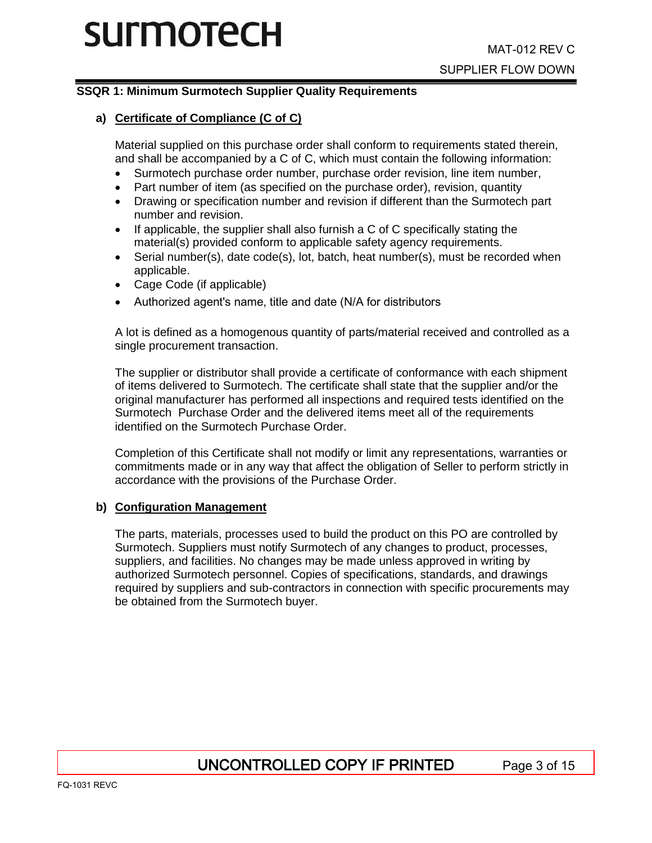## **SSQR 1: Minimum Surmotech Supplier Quality Requirements**

## **a) Certificate of Compliance (C of C)**

Material supplied on this purchase order shall conform to requirements stated therein, and shall be accompanied by a C of C, which must contain the following information:

- Surmotech purchase order number, purchase order revision, line item number,
- Part number of item (as specified on the purchase order), revision, quantity
- Drawing or specification number and revision if different than the Surmotech part number and revision.
- If applicable, the supplier shall also furnish a C of C specifically stating the material(s) provided conform to applicable safety agency requirements.
- Serial number(s), date code(s), lot, batch, heat number(s), must be recorded when applicable.
- Cage Code (if applicable)
- Authorized agent's name, title and date (N/A for distributors

A lot is defined as a homogenous quantity of parts/material received and controlled as a single procurement transaction.

The supplier or distributor shall provide a certificate of conformance with each shipment of items delivered to Surmotech. The certificate shall state that the supplier and/or the original manufacturer has performed all inspections and required tests identified on the Surmotech Purchase Order and the delivered items meet all of the requirements identified on the Surmotech Purchase Order.

Completion of this Certificate shall not modify or limit any representations, warranties or commitments made or in any way that affect the obligation of Seller to perform strictly in accordance with the provisions of the Purchase Order.

#### **b) Configuration Management**

The parts, materials, processes used to build the product on this PO are controlled by Surmotech. Suppliers must notify Surmotech of any changes to product, processes, suppliers, and facilities. No changes may be made unless approved in writing by authorized Surmotech personnel. Copies of specifications, standards, and drawings required by suppliers and sub-contractors in connection with specific procurements may be obtained from the Surmotech buyer.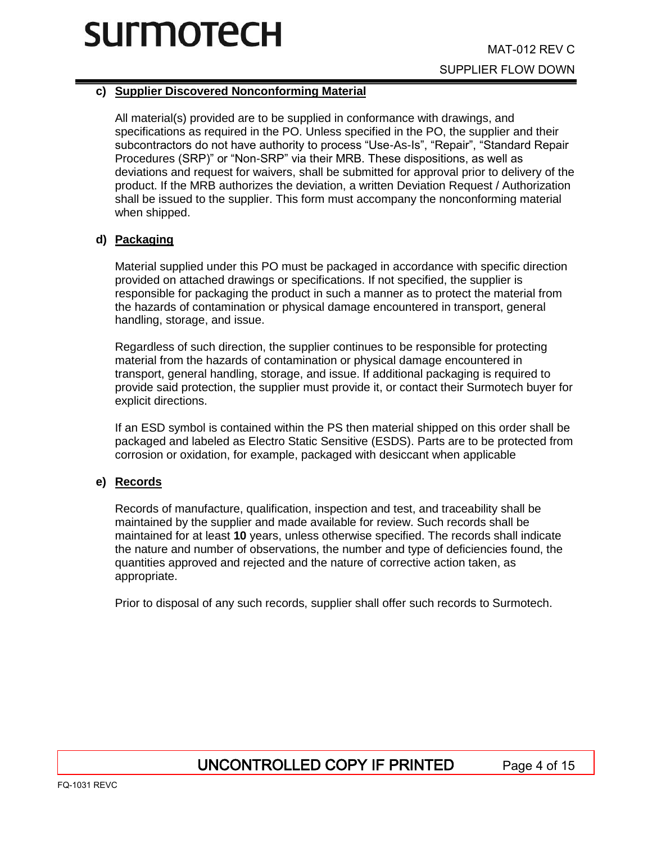## **c) Supplier Discovered Nonconforming Material**

All material(s) provided are to be supplied in conformance with drawings, and specifications as required in the PO. Unless specified in the PO, the supplier and their subcontractors do not have authority to process "Use-As-Is", "Repair", "Standard Repair Procedures (SRP)" or "Non-SRP" via their MRB. These dispositions, as well as deviations and request for waivers, shall be submitted for approval prior to delivery of the product. If the MRB authorizes the deviation, a written Deviation Request / Authorization shall be issued to the supplier. This form must accompany the nonconforming material when shipped.

### **d) Packaging**

Material supplied under this PO must be packaged in accordance with specific direction provided on attached drawings or specifications. If not specified, the supplier is responsible for packaging the product in such a manner as to protect the material from the hazards of contamination or physical damage encountered in transport, general handling, storage, and issue.

Regardless of such direction, the supplier continues to be responsible for protecting material from the hazards of contamination or physical damage encountered in transport, general handling, storage, and issue. If additional packaging is required to provide said protection, the supplier must provide it, or contact their Surmotech buyer for explicit directions.

If an ESD symbol is contained within the PS then material shipped on this order shall be packaged and labeled as Electro Static Sensitive (ESDS). Parts are to be protected from corrosion or oxidation, for example, packaged with desiccant when applicable

### **e) Records**

Records of manufacture, qualification, inspection and test, and traceability shall be maintained by the supplier and made available for review. Such records shall be maintained for at least **10** years, unless otherwise specified. The records shall indicate the nature and number of observations, the number and type of deficiencies found, the quantities approved and rejected and the nature of corrective action taken, as appropriate.

Prior to disposal of any such records, supplier shall offer such records to Surmotech.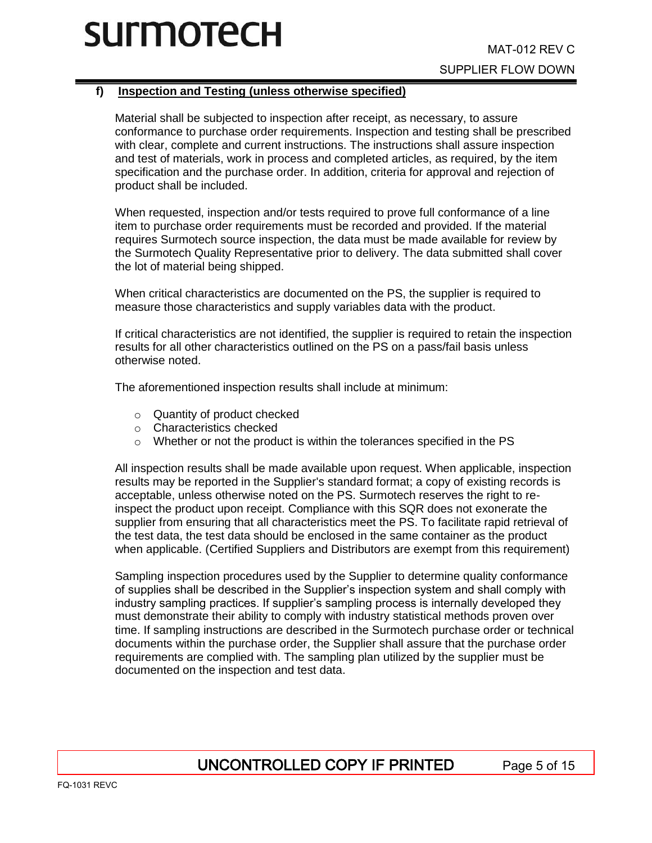## **f) Inspection and Testing (unless otherwise specified)**

Material shall be subjected to inspection after receipt, as necessary, to assure conformance to purchase order requirements. Inspection and testing shall be prescribed with clear, complete and current instructions. The instructions shall assure inspection and test of materials, work in process and completed articles, as required, by the item specification and the purchase order. In addition, criteria for approval and rejection of product shall be included.

When requested, inspection and/or tests required to prove full conformance of a line item to purchase order requirements must be recorded and provided. If the material requires Surmotech source inspection, the data must be made available for review by the Surmotech Quality Representative prior to delivery. The data submitted shall cover the lot of material being shipped.

When critical characteristics are documented on the PS, the supplier is required to measure those characteristics and supply variables data with the product.

If critical characteristics are not identified, the supplier is required to retain the inspection results for all other characteristics outlined on the PS on a pass/fail basis unless otherwise noted.

The aforementioned inspection results shall include at minimum:

- o Quantity of product checked
- o Characteristics checked
- o Whether or not the product is within the tolerances specified in the PS

All inspection results shall be made available upon request. When applicable, inspection results may be reported in the Supplier's standard format; a copy of existing records is acceptable, unless otherwise noted on the PS. Surmotech reserves the right to reinspect the product upon receipt. Compliance with this SQR does not exonerate the supplier from ensuring that all characteristics meet the PS. To facilitate rapid retrieval of the test data, the test data should be enclosed in the same container as the product when applicable. (Certified Suppliers and Distributors are exempt from this requirement)

Sampling inspection procedures used by the Supplier to determine quality conformance of supplies shall be described in the Supplier's inspection system and shall comply with industry sampling practices. If supplier's sampling process is internally developed they must demonstrate their ability to comply with industry statistical methods proven over time. If sampling instructions are described in the Surmotech purchase order or technical documents within the purchase order, the Supplier shall assure that the purchase order requirements are complied with. The sampling plan utilized by the supplier must be documented on the inspection and test data.

# UNCONTROLLED COPY IF PRINTED Page 5 of 15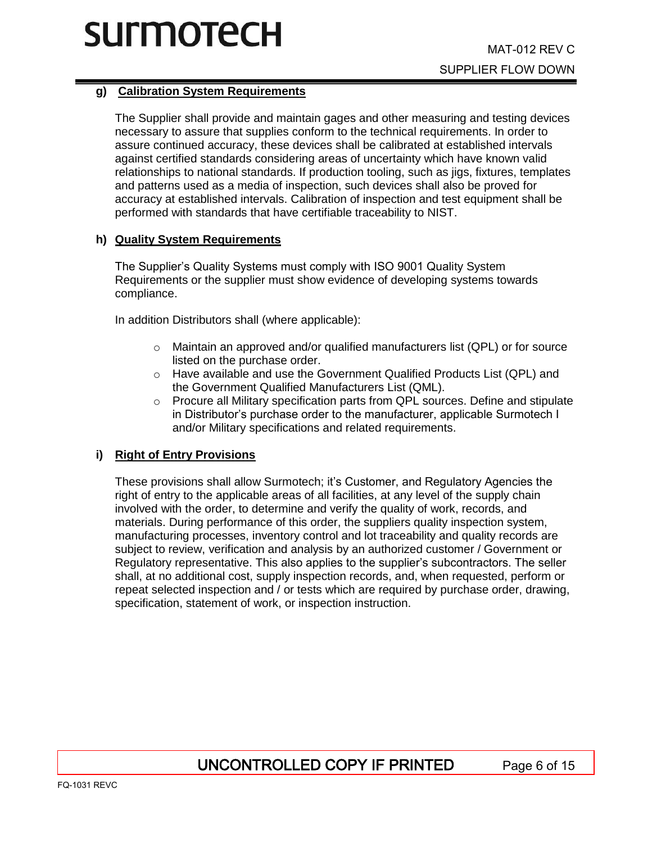## **g) Calibration System Requirements**

The Supplier shall provide and maintain gages and other measuring and testing devices necessary to assure that supplies conform to the technical requirements. In order to assure continued accuracy, these devices shall be calibrated at established intervals against certified standards considering areas of uncertainty which have known valid relationships to national standards. If production tooling, such as jigs, fixtures, templates and patterns used as a media of inspection, such devices shall also be proved for accuracy at established intervals. Calibration of inspection and test equipment shall be performed with standards that have certifiable traceability to NIST.

## **h) Quality System Requirements**

The Supplier's Quality Systems must comply with ISO 9001 Quality System Requirements or the supplier must show evidence of developing systems towards compliance.

In addition Distributors shall (where applicable):

- $\circ$  Maintain an approved and/or qualified manufacturers list (QPL) or for source listed on the purchase order.
- $\circ$  Have available and use the Government Qualified Products List (QPL) and the Government Qualified Manufacturers List (QML).
- $\circ$  Procure all Military specification parts from QPL sources. Define and stipulate in Distributor's purchase order to the manufacturer, applicable Surmotech I and/or Military specifications and related requirements.

## **i) Right of Entry Provisions**

These provisions shall allow Surmotech; it's Customer, and Regulatory Agencies the right of entry to the applicable areas of all facilities, at any level of the supply chain involved with the order, to determine and verify the quality of work, records, and materials. During performance of this order, the suppliers quality inspection system, manufacturing processes, inventory control and lot traceability and quality records are subject to review, verification and analysis by an authorized customer / Government or Regulatory representative. This also applies to the supplier's subcontractors. The seller shall, at no additional cost, supply inspection records, and, when requested, perform or repeat selected inspection and / or tests which are required by purchase order, drawing, specification, statement of work, or inspection instruction.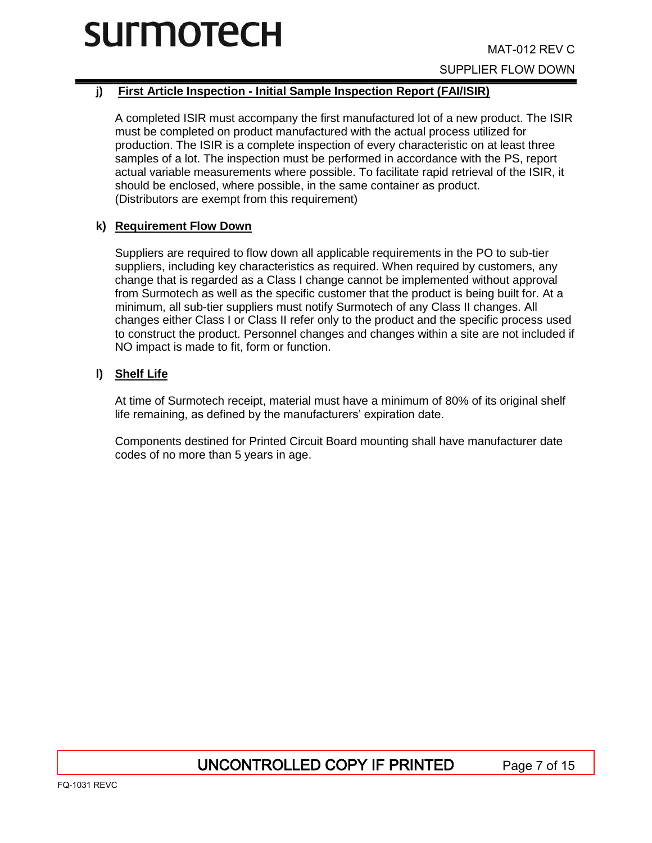# **j) First Article Inspection - Initial Sample Inspection Report (FAI/ISIR)**

A completed ISIR must accompany the first manufactured lot of a new product. The ISIR must be completed on product manufactured with the actual process utilized for production. The ISIR is a complete inspection of every characteristic on at least three samples of a lot. The inspection must be performed in accordance with the PS, report actual variable measurements where possible. To facilitate rapid retrieval of the ISIR, it should be enclosed, where possible, in the same container as product. (Distributors are exempt from this requirement)

## **k) Requirement Flow Down**

Suppliers are required to flow down all applicable requirements in the PO to sub-tier suppliers, including key characteristics as required. When required by customers, any change that is regarded as a Class I change cannot be implemented without approval from Surmotech as well as the specific customer that the product is being built for. At a minimum, all sub-tier suppliers must notify Surmotech of any Class II changes. All changes either Class I or Class II refer only to the product and the specific process used to construct the product. Personnel changes and changes within a site are not included if NO impact is made to fit, form or function.

## **l) Shelf Life**

At time of Surmotech receipt, material must have a minimum of 80% of its original shelf life remaining, as defined by the manufacturers' expiration date.

Components destined for Printed Circuit Board mounting shall have manufacturer date codes of no more than 5 years in age.

# UNCONTROLLED COPY IF PRINTED Page 7 of 15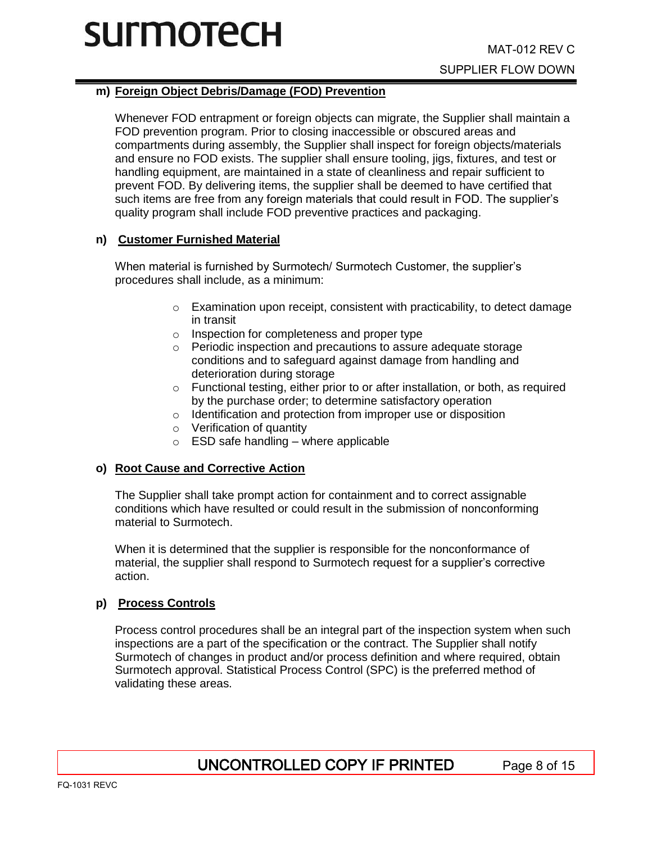## **m) Foreign Object Debris/Damage (FOD) Prevention**

Whenever FOD entrapment or foreign objects can migrate, the Supplier shall maintain a FOD prevention program. Prior to closing inaccessible or obscured areas and compartments during assembly, the Supplier shall inspect for foreign objects/materials and ensure no FOD exists. The supplier shall ensure tooling, jigs, fixtures, and test or handling equipment, are maintained in a state of cleanliness and repair sufficient to prevent FOD. By delivering items, the supplier shall be deemed to have certified that such items are free from any foreign materials that could result in FOD. The supplier's quality program shall include FOD preventive practices and packaging.

## **n) Customer Furnished Material**

When material is furnished by Surmotech/ Surmotech Customer, the supplier's procedures shall include, as a minimum:

- o Examination upon receipt, consistent with practicability, to detect damage in transit
- o Inspection for completeness and proper type
- o Periodic inspection and precautions to assure adequate storage conditions and to safeguard against damage from handling and deterioration during storage
- o Functional testing, either prior to or after installation, or both, as required by the purchase order; to determine satisfactory operation
- o Identification and protection from improper use or disposition
- o Verification of quantity
- $\circ$  ESD safe handling where applicable

### **o) Root Cause and Corrective Action**

The Supplier shall take prompt action for containment and to correct assignable conditions which have resulted or could result in the submission of nonconforming material to Surmotech.

When it is determined that the supplier is responsible for the nonconformance of material, the supplier shall respond to Surmotech request for a supplier's corrective action.

### **p) Process Controls**

Process control procedures shall be an integral part of the inspection system when such inspections are a part of the specification or the contract. The Supplier shall notify Surmotech of changes in product and/or process definition and where required, obtain Surmotech approval. Statistical Process Control (SPC) is the preferred method of validating these areas.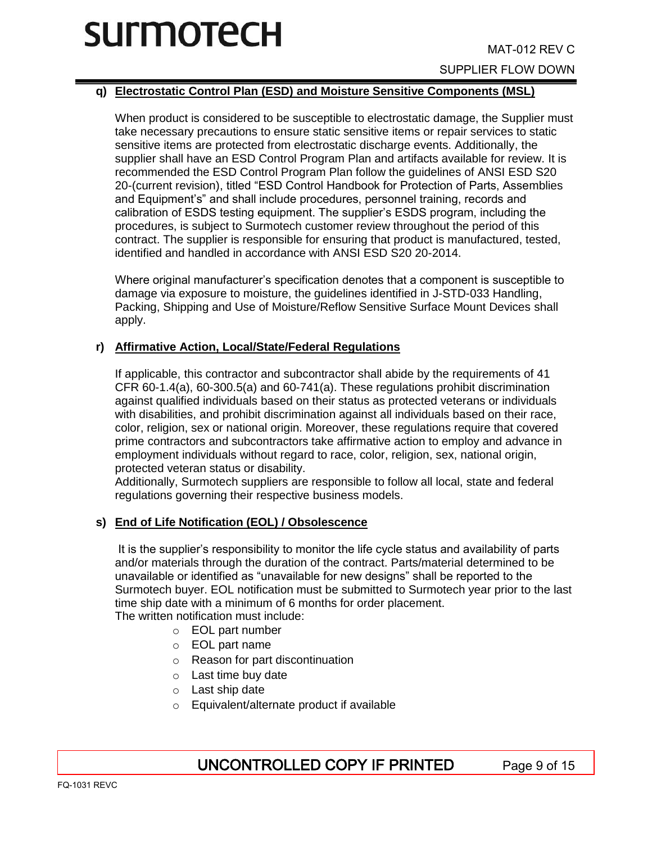# **q) Electrostatic Control Plan (ESD) and Moisture Sensitive Components (MSL)**

When product is considered to be susceptible to electrostatic damage, the Supplier must take necessary precautions to ensure static sensitive items or repair services to static sensitive items are protected from electrostatic discharge events. Additionally, the supplier shall have an ESD Control Program Plan and artifacts available for review. It is recommended the ESD Control Program Plan follow the guidelines of ANSI ESD S20 20-(current revision), titled "ESD Control Handbook for Protection of Parts, Assemblies and Equipment's" and shall include procedures, personnel training, records and calibration of ESDS testing equipment. The supplier's ESDS program, including the procedures, is subject to Surmotech customer review throughout the period of this contract. The supplier is responsible for ensuring that product is manufactured, tested, identified and handled in accordance with ANSI ESD S20 20-2014.

Where original manufacturer's specification denotes that a component is susceptible to damage via exposure to moisture, the guidelines identified in J-STD-033 Handling, Packing, Shipping and Use of Moisture/Reflow Sensitive Surface Mount Devices shall apply.

## **r) Affirmative Action, Local/State/Federal Regulations**

If applicable, this contractor and subcontractor shall abide by the requirements of 41 CFR 60-1.4(a), 60-300.5(a) and 60-741(a). These regulations prohibit discrimination against qualified individuals based on their status as protected veterans or individuals with disabilities, and prohibit discrimination against all individuals based on their race, color, religion, sex or national origin. Moreover, these regulations require that covered prime contractors and subcontractors take affirmative action to employ and advance in employment individuals without regard to race, color, religion, sex, national origin, protected veteran status or disability.

Additionally, Surmotech suppliers are responsible to follow all local, state and federal regulations governing their respective business models.

## **s) End of Life Notification (EOL) / Obsolescence**

It is the supplier's responsibility to monitor the life cycle status and availability of parts and/or materials through the duration of the contract. Parts/material determined to be unavailable or identified as "unavailable for new designs" shall be reported to the Surmotech buyer. EOL notification must be submitted to Surmotech year prior to the last time ship date with a minimum of 6 months for order placement. The written notification must include:

- o EOL part number
- o EOL part name
- o Reason for part discontinuation
- o Last time buy date
- o Last ship date
- o Equivalent/alternate product if available

# UNCONTROLLED COPY IF PRINTED Page 9 of 15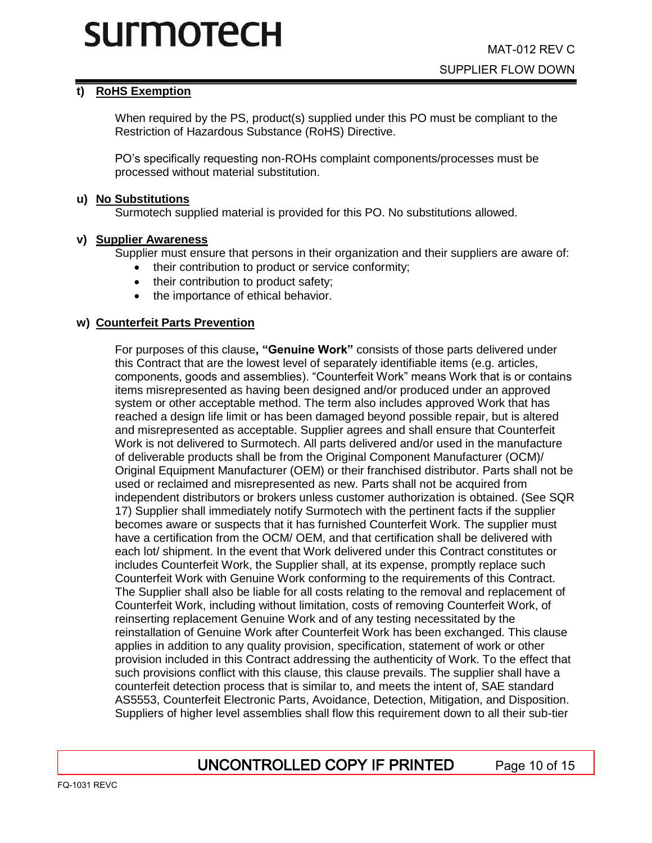# **t) RoHS Exemption**

When required by the PS, product(s) supplied under this PO must be compliant to the Restriction of Hazardous Substance (RoHS) Directive.

PO's specifically requesting non-ROHs complaint components/processes must be processed without material substitution.

#### **u) No Substitutions**

Surmotech supplied material is provided for this PO. No substitutions allowed.

### **v) Supplier Awareness**

Supplier must ensure that persons in their organization and their suppliers are aware of:

- their contribution to product or service conformity;
- their contribution to product safety;
- the importance of ethical behavior.

### **w) Counterfeit Parts Prevention**

For purposes of this clause**, "Genuine Work"** consists of those parts delivered under this Contract that are the lowest level of separately identifiable items (e.g. articles, components, goods and assemblies). "Counterfeit Work" means Work that is or contains items misrepresented as having been designed and/or produced under an approved system or other acceptable method. The term also includes approved Work that has reached a design life limit or has been damaged beyond possible repair, but is altered and misrepresented as acceptable. Supplier agrees and shall ensure that Counterfeit Work is not delivered to Surmotech. All parts delivered and/or used in the manufacture of deliverable products shall be from the Original Component Manufacturer (OCM)/ Original Equipment Manufacturer (OEM) or their franchised distributor. Parts shall not be used or reclaimed and misrepresented as new. Parts shall not be acquired from independent distributors or brokers unless customer authorization is obtained. (See SQR 17) Supplier shall immediately notify Surmotech with the pertinent facts if the supplier becomes aware or suspects that it has furnished Counterfeit Work. The supplier must have a certification from the OCM/ OEM, and that certification shall be delivered with each lot/ shipment. In the event that Work delivered under this Contract constitutes or includes Counterfeit Work, the Supplier shall, at its expense, promptly replace such Counterfeit Work with Genuine Work conforming to the requirements of this Contract. The Supplier shall also be liable for all costs relating to the removal and replacement of Counterfeit Work, including without limitation, costs of removing Counterfeit Work, of reinserting replacement Genuine Work and of any testing necessitated by the reinstallation of Genuine Work after Counterfeit Work has been exchanged. This clause applies in addition to any quality provision, specification, statement of work or other provision included in this Contract addressing the authenticity of Work. To the effect that such provisions conflict with this clause, this clause prevails. The supplier shall have a counterfeit detection process that is similar to, and meets the intent of, SAE standard AS5553, Counterfeit Electronic Parts, Avoidance, Detection, Mitigation, and Disposition. Suppliers of higher level assemblies shall flow this requirement down to all their sub-tier

# UNCONTROLLED COPY IF PRINTED Page 10 of 15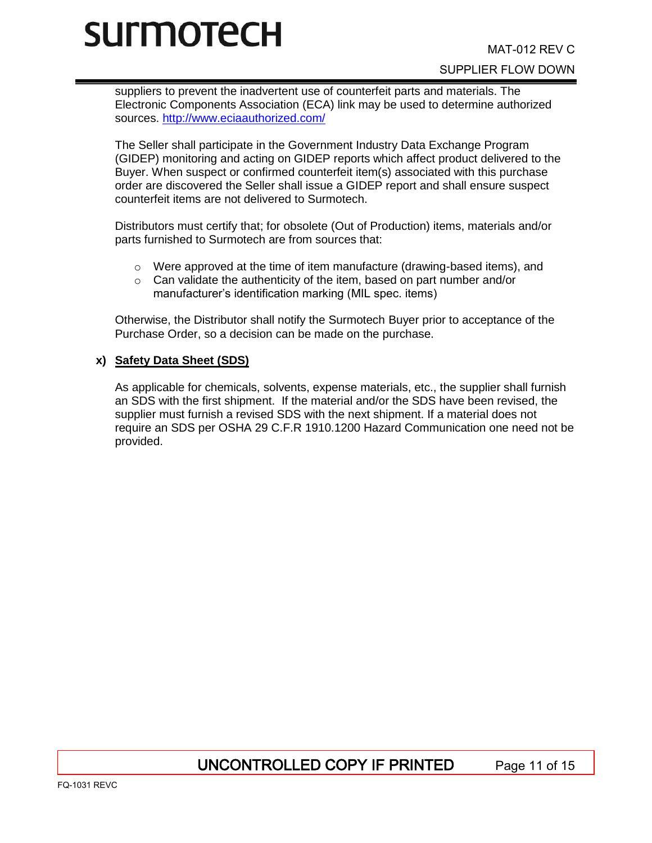suppliers to prevent the inadvertent use of counterfeit parts and materials. The Electronic Components Association (ECA) link may be used to determine authorized sources.<http://www.eciaauthorized.com/>

The Seller shall participate in the Government Industry Data Exchange Program (GIDEP) monitoring and acting on GIDEP reports which affect product delivered to the Buyer. When suspect or confirmed counterfeit item(s) associated with this purchase order are discovered the Seller shall issue a GIDEP report and shall ensure suspect counterfeit items are not delivered to Surmotech.

Distributors must certify that; for obsolete (Out of Production) items, materials and/or parts furnished to Surmotech are from sources that:

- $\circ$  Were approved at the time of item manufacture (drawing-based items), and
- $\circ$  Can validate the authenticity of the item, based on part number and/or manufacturer's identification marking (MIL spec. items)

Otherwise, the Distributor shall notify the Surmotech Buyer prior to acceptance of the Purchase Order, so a decision can be made on the purchase.

### **x) Safety Data Sheet (SDS)**

As applicable for chemicals, solvents, expense materials, etc., the supplier shall furnish an SDS with the first shipment. If the material and/or the SDS have been revised, the supplier must furnish a revised SDS with the next shipment. If a material does not require an SDS per OSHA 29 C.F.R 1910.1200 Hazard Communication one need not be provided.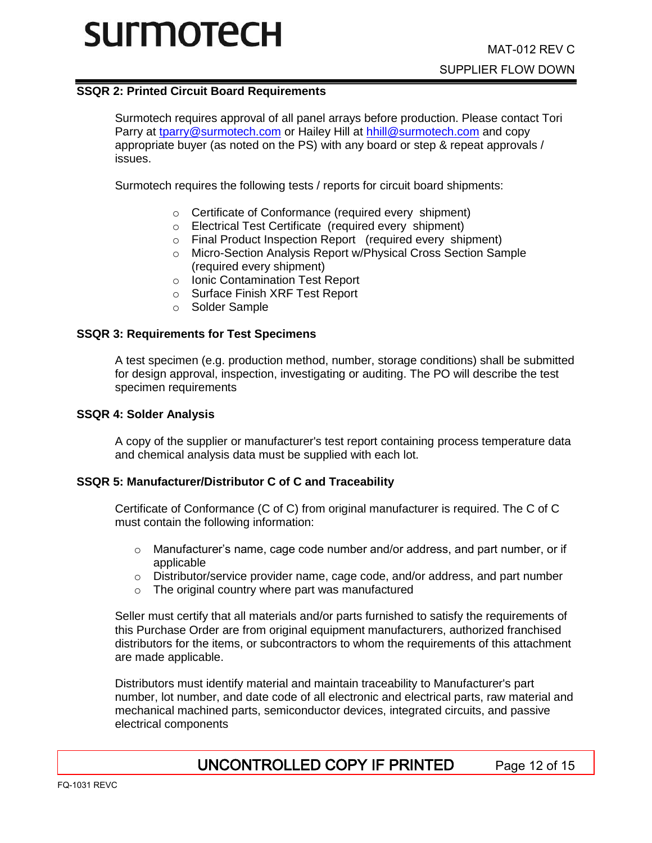### **SSQR 2: Printed Circuit Board Requirements**

Surmotech requires approval of all panel arrays before production. Please contact Tori Parry at [tparry@surmotech.com](mailto:tparry@surmotech.com) or Hailey Hill at [hhill@surmotech.com](mailto:hhill@surmotech.com) and copy appropriate buyer (as noted on the PS) with any board or step & repeat approvals / issues.

Surmotech requires the following tests / reports for circuit board shipments:

- o Certificate of Conformance (required every shipment)
- o Electrical Test Certificate (required every shipment)
- o Final Product Inspection Report (required every shipment)
- Micro-Section Analysis Report w/Physical Cross Section Sample (required every shipment)
- o Ionic Contamination Test Report
- o Surface Finish XRF Test Report
- o Solder Sample

### **SSQR 3: Requirements for Test Specimens**

A test specimen (e.g. production method, number, storage conditions) shall be submitted for design approval, inspection, investigating or auditing. The PO will describe the test specimen requirements

#### **SSQR 4: Solder Analysis**

A copy of the supplier or manufacturer's test report containing process temperature data and chemical analysis data must be supplied with each lot.

### **SSQR 5: Manufacturer/Distributor C of C and Traceability**

Certificate of Conformance (C of C) from original manufacturer is required. The C of C must contain the following information:

- $\circ$  Manufacturer's name, cage code number and/or address, and part number, or if applicable
- o Distributor/service provider name, cage code, and/or address, and part number
- o The original country where part was manufactured

Seller must certify that all materials and/or parts furnished to satisfy the requirements of this Purchase Order are from original equipment manufacturers, authorized franchised distributors for the items, or subcontractors to whom the requirements of this attachment are made applicable.

Distributors must identify material and maintain traceability to Manufacturer's part number, lot number, and date code of all electronic and electrical parts, raw material and mechanical machined parts, semiconductor devices, integrated circuits, and passive electrical components

# UNCONTROLLED COPY IF PRINTED Page 12 of 15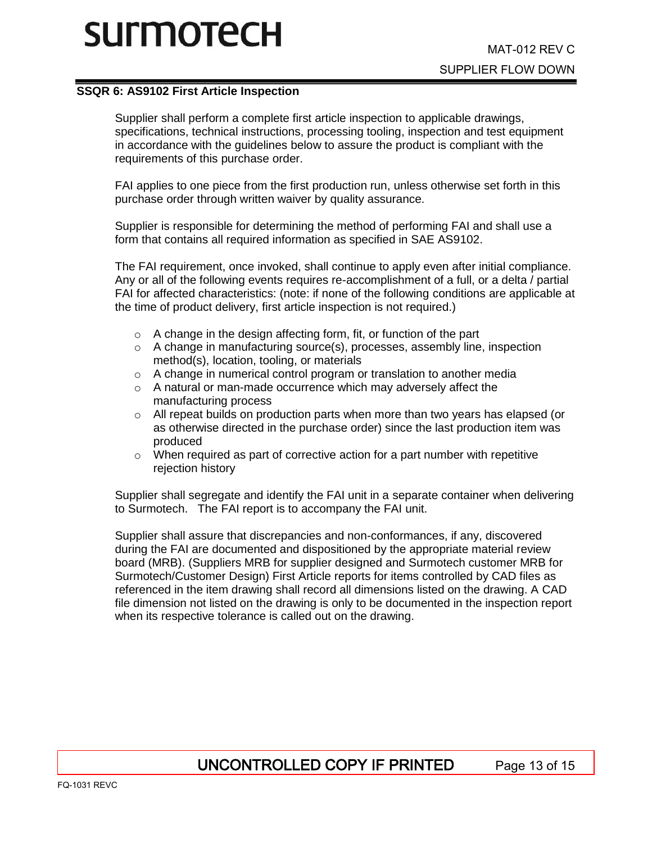#### **SSQR 6: AS9102 First Article Inspection**

Supplier shall perform a complete first article inspection to applicable drawings, specifications, technical instructions, processing tooling, inspection and test equipment in accordance with the guidelines below to assure the product is compliant with the requirements of this purchase order.

FAI applies to one piece from the first production run, unless otherwise set forth in this purchase order through written waiver by quality assurance.

Supplier is responsible for determining the method of performing FAI and shall use a form that contains all required information as specified in SAE AS9102.

The FAI requirement, once invoked, shall continue to apply even after initial compliance. Any or all of the following events requires re-accomplishment of a full, or a delta / partial FAI for affected characteristics: (note: if none of the following conditions are applicable at the time of product delivery, first article inspection is not required.)

- o A change in the design affecting form, fit, or function of the part
- $\circ$  A change in manufacturing source(s), processes, assembly line, inspection method(s), location, tooling, or materials
- o A change in numerical control program or translation to another media
- o A natural or man-made occurrence which may adversely affect the manufacturing process
- o All repeat builds on production parts when more than two years has elapsed (or as otherwise directed in the purchase order) since the last production item was produced
- $\circ$  When required as part of corrective action for a part number with repetitive rejection history

Supplier shall segregate and identify the FAI unit in a separate container when delivering to Surmotech. The FAI report is to accompany the FAI unit.

Supplier shall assure that discrepancies and non-conformances, if any, discovered during the FAI are documented and dispositioned by the appropriate material review board (MRB). (Suppliers MRB for supplier designed and Surmotech customer MRB for Surmotech/Customer Design) First Article reports for items controlled by CAD files as referenced in the item drawing shall record all dimensions listed on the drawing. A CAD file dimension not listed on the drawing is only to be documented in the inspection report when its respective tolerance is called out on the drawing.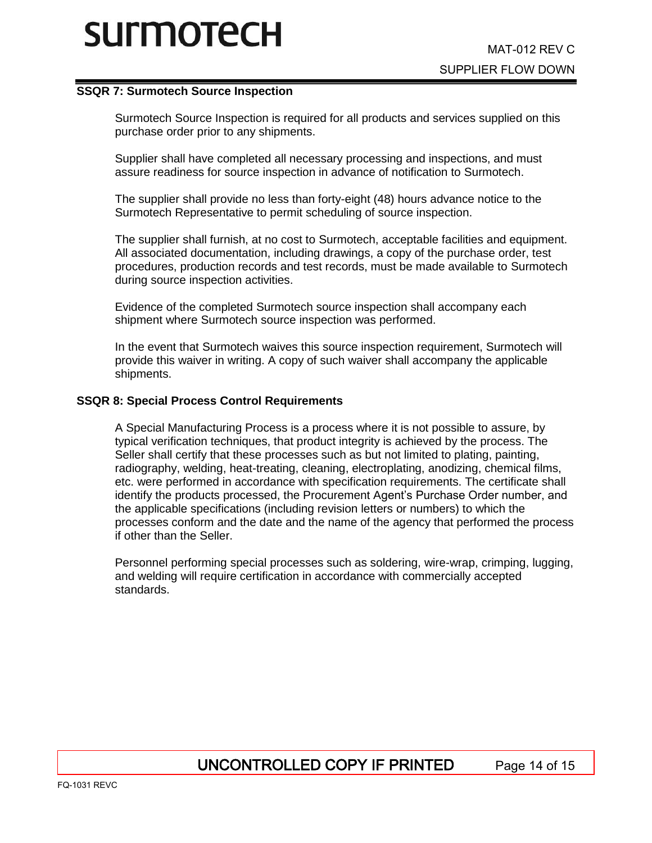#### **SSQR 7: Surmotech Source Inspection**

Surmotech Source Inspection is required for all products and services supplied on this purchase order prior to any shipments.

Supplier shall have completed all necessary processing and inspections, and must assure readiness for source inspection in advance of notification to Surmotech.

The supplier shall provide no less than forty-eight (48) hours advance notice to the Surmotech Representative to permit scheduling of source inspection.

The supplier shall furnish, at no cost to Surmotech, acceptable facilities and equipment. All associated documentation, including drawings, a copy of the purchase order, test procedures, production records and test records, must be made available to Surmotech during source inspection activities.

Evidence of the completed Surmotech source inspection shall accompany each shipment where Surmotech source inspection was performed.

In the event that Surmotech waives this source inspection requirement, Surmotech will provide this waiver in writing. A copy of such waiver shall accompany the applicable shipments.

#### **SSQR 8: Special Process Control Requirements**

A Special Manufacturing Process is a process where it is not possible to assure, by typical verification techniques, that product integrity is achieved by the process. The Seller shall certify that these processes such as but not limited to plating, painting, radiography, welding, heat-treating, cleaning, electroplating, anodizing, chemical films, etc. were performed in accordance with specification requirements. The certificate shall identify the products processed, the Procurement Agent's Purchase Order number, and the applicable specifications (including revision letters or numbers) to which the processes conform and the date and the name of the agency that performed the process if other than the Seller.

Personnel performing special processes such as soldering, wire-wrap, crimping, lugging, and welding will require certification in accordance with commercially accepted standards.

# UNCONTROLLED COPY IF PRINTED Page 14 of 15